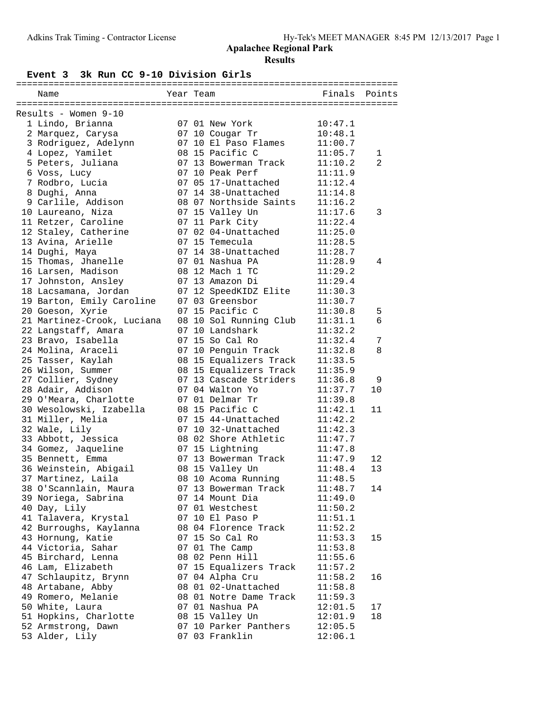#### **Event 3 3k Run CC 9-10 Division Girls**

| Name                       | Year Team |                        | Finals  | Points         |
|----------------------------|-----------|------------------------|---------|----------------|
|                            |           |                        |         |                |
| Results - Women 9-10       |           |                        |         |                |
| 1 Lindo, Brianna           |           | 07 01 New York         | 10:47.1 |                |
| 2 Marquez, Carysa          |           | 07 10 Cougar Tr        | 10:48.1 |                |
| 3 Rodriguez, Adelynn       |           | 07 10 El Paso Flames   | 11:00.7 |                |
| 4 Lopez, Yamilet           |           | 08 15 Pacific C        | 11:05.7 | 1              |
| 5 Peters, Juliana          |           | 07 13 Bowerman Track   | 11:10.2 | $\overline{2}$ |
| 6 Voss, Lucy               |           | 07 10 Peak Perf        | 11:11.9 |                |
| 7 Rodbro, Lucia            |           | 07 05 17-Unattached    | 11:12.4 |                |
| 8 Dughi, Anna              |           | 07 14 38-Unattached    | 11:14.8 |                |
| 9 Carlile, Addison         |           | 08 07 Northside Saints | 11:16.2 |                |
| 10 Laureano, Niza          |           | 07 15 Valley Un        | 11:17.6 | 3              |
| 11 Retzer, Caroline        |           | 07 11 Park City        | 11:22.4 |                |
| 12 Staley, Catherine       |           | 07 02 04-Unattached    | 11:25.0 |                |
| 13 Avina, Arielle          |           | 07 15 Temecula         | 11:28.5 |                |
| 14 Dughi, Maya             |           | 07 14 38-Unattached    | 11:28.7 |                |
| 15 Thomas, Jhanelle        |           | 07 01 Nashua PA        | 11:28.9 | 4              |
| 16 Larsen, Madison         |           | 08 12 Mach 1 TC        | 11:29.2 |                |
| 17 Johnston, Ansley        |           | 07 13 Amazon Di        | 11:29.4 |                |
| 18 Lacsamana, Jordan       |           | 07 12 SpeedKIDZ Elite  | 11:30.3 |                |
| 19 Barton, Emily Caroline  |           | 07 03 Greensbor        | 11:30.7 |                |
| 20 Goeson, Xyrie           |           | 07 15 Pacific C        | 11:30.8 | 5              |
| 21 Martinez-Crook, Luciana |           | 08 10 Sol Running Club | 11:31.1 | 6              |
| 22 Langstaff, Amara        |           | 07 10 Landshark        | 11:32.2 |                |
| 23 Bravo, Isabella         |           | 07 15 So Cal Ro        | 11:32.4 | 7              |
| 24 Molina, Araceli         |           | 07 10 Penguin Track    | 11:32.8 | 8              |
| 25 Tasser, Kaylah          |           | 08 15 Equalizers Track | 11:33.5 |                |
| 26 Wilson, Summer          |           | 08 15 Equalizers Track | 11:35.9 |                |
| 27 Collier, Sydney         |           | 07 13 Cascade Striders | 11:36.8 | 9              |
| 28 Adair, Addison          |           | 07 04 Walton Yo        | 11:37.7 | 10             |
| 29 O'Meara, Charlotte      |           | 07 01 Delmar Tr        | 11:39.8 |                |
| 30 Wesolowski, Izabella    |           | 08 15 Pacific C        | 11:42.1 | 11             |
| 31 Miller, Melia           |           | 07 15 44-Unattached    | 11:42.2 |                |
| 32 Wale, Lily              |           | 07 10 32-Unattached    | 11:42.3 |                |
| 33 Abbott, Jessica         |           |                        | 11:47.7 |                |
|                            |           | 08 02 Shore Athletic   |         |                |
| 34 Gomez, Jaqueline        |           | 07 15 Lightning        | 11:47.8 |                |
| 35 Bennett, Emma           |           | 07 13 Bowerman Track   | 11:47.9 | 12             |
| 36 Weinstein, Abigail      |           | 08 15 Valley Un        | 11:48.4 | 13             |
| 37 Martinez, Laila         |           | 08 10 Acoma Running    | 11:48.5 |                |
| 38 O'Scannlain, Maura      |           | 07 13 Bowerman Track   | 11:48.7 | 14             |
| 39 Noriega, Sabrina        |           | 07 14 Mount Dia        | 11:49.0 |                |
| 40 Day, Lily               |           | 07 01 Westchest        | 11:50.2 |                |
| 41 Talavera, Krystal       |           | 07 10 El Paso P        | 11:51.1 |                |
| 42 Burroughs, Kaylanna     |           | 08 04 Florence Track   | 11:52.2 |                |
| 43 Hornung, Katie          |           | 07 15 So Cal Ro        | 11:53.3 | 15             |
| 44 Victoria, Sahar         |           | 07 01 The Camp         | 11:53.8 |                |
| 45 Birchard, Lenna         |           | 08 02 Penn Hill        | 11:55.6 |                |
| 46 Lam, Elizabeth          |           | 07 15 Equalizers Track | 11:57.2 |                |
| 47 Schlaupitz, Brynn       |           | 07 04 Alpha Cru        | 11:58.2 | 16             |
| 48 Artabane, Abby          |           | 08 01 02-Unattached    | 11:58.8 |                |
| 49 Romero, Melanie         |           | 08 01 Notre Dame Track | 11:59.3 |                |
| 50 White, Laura            |           | 07 01 Nashua PA        | 12:01.5 | 17             |
| 51 Hopkins, Charlotte      |           | 08 15 Valley Un        | 12:01.9 | 18             |
| 52 Armstrong, Dawn         |           | 07 10 Parker Panthers  | 12:05.5 |                |
| 53 Alder, Lily             |           | 07 03 Franklin         | 12:06.1 |                |
|                            |           |                        |         |                |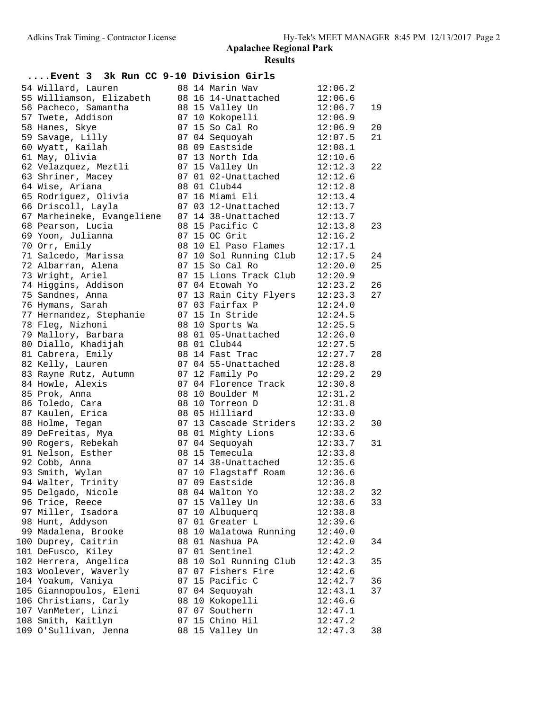| Event 3 3k Run CC 9-10 Division Girls |  |                        |         |    |
|---------------------------------------|--|------------------------|---------|----|
| 54 Willard, Lauren                    |  | 08 14 Marin Wav        | 12:06.2 |    |
| 55 Williamson, Elizabeth              |  | 08 16 14-Unattached    | 12:06.6 |    |
| 56 Pacheco, Samantha                  |  | 08 15 Valley Un        | 12:06.7 | 19 |
| 57 Twete, Addison                     |  | 07 10 Kokopelli        | 12:06.9 |    |
| 58 Hanes, Skye                        |  | 07 15 So Cal Ro        | 12:06.9 | 20 |
| 59 Savage, Lilly                      |  | 07 04 Sequoyah         | 12:07.5 | 21 |
| 60 Wyatt, Kailah                      |  | 08 09 Eastside         | 12:08.1 |    |
| 61 May, Olivia                        |  | 07 13 North Ida        | 12:10.6 |    |
| 62 Velazquez, Meztli                  |  | 07 15 Valley Un        | 12:12.3 | 22 |
| 63 Shriner, Macey                     |  | 07 01 02-Unattached    | 12:12.6 |    |
| 64 Wise, Ariana                       |  | 08 01 Club44           | 12:12.8 |    |
| 65 Rodriguez, Olivia                  |  | 07 16 Miami Eli        | 12:13.4 |    |
| 66 Driscoll, Layla                    |  | 07 03 12-Unattached    | 12:13.7 |    |
| 67 Marheineke, Evangeliene            |  | 07 14 38-Unattached    | 12:13.7 |    |
| 68 Pearson, Lucia                     |  | 08 15 Pacific C        | 12:13.8 | 23 |
| 69 Yoon, Julianna                     |  | 07 15 OC Grit          | 12:16.2 |    |
| 70 Orr, Emily                         |  | 08 10 El Paso Flames   | 12:17.1 |    |
| 71 Salcedo, Marissa                   |  | 07 10 Sol Running Club | 12:17.5 | 24 |
| 72 Albarran, Alena                    |  | 07 15 So Cal Ro        | 12:20.0 | 25 |
| 73 Wright, Ariel                      |  | 07 15 Lions Track Club | 12:20.9 |    |
| 74 Higgins, Addison                   |  | 07 04 Etowah Yo        | 12:23.2 | 26 |
| 75 Sandnes, Anna                      |  | 07 13 Rain City Flyers | 12:23.3 | 27 |
| 76 Hymans, Sarah                      |  | 07 03 Fairfax P        | 12:24.0 |    |
| 77 Hernandez, Stephanie               |  | 07 15 In Stride        | 12:24.5 |    |
| 78 Fleq, Nizhoni                      |  | 08 10 Sports Wa        | 12:25.5 |    |
| 79 Mallory, Barbara                   |  | 08 01 05-Unattached    | 12:26.0 |    |
| 80 Diallo, Khadijah                   |  | 08 01 Club44           | 12:27.5 |    |
| 81 Cabrera, Emily                     |  | 08 14 Fast Trac        | 12:27.7 | 28 |
| 82 Kelly, Lauren                      |  | 07 04 55-Unattached    | 12:28.8 |    |
| 83 Rayne Rutz, Autumn                 |  | 07 12 Family Po        | 12:29.2 | 29 |
| 84 Howle, Alexis                      |  | 07 04 Florence Track   | 12:30.8 |    |
| 85 Prok, Anna                         |  | 08 10 Boulder M        | 12:31.2 |    |
| 86 Toledo, Cara                       |  | 08 10 Torreon D        | 12:31.8 |    |
| 87 Kaulen, Erica                      |  | 08 05 Hilliard         | 12:33.0 |    |
| 88 Holme, Tegan                       |  | 07 13 Cascade Striders | 12:33.2 | 30 |
| 89 DeFreitas, Mya                     |  | 08 01 Mighty Lions     | 12:33.6 |    |
| 90 Rogers, Rebekah                    |  | 07 04 Sequoyah         | 12:33.7 | 31 |
| 91 Nelson, Esther                     |  | 08 15 Temecula         | 12:33.8 |    |
| 92 Cobb, Anna                         |  | 07 14 38-Unattached    | 12:35.6 |    |
| 93 Smith, Wylan                       |  | 07 10 Flagstaff Roam   | 12:36.6 |    |
| 94 Walter, Trinity                    |  | 07 09 Eastside         | 12:36.8 |    |
| 95 Delgado, Nicole                    |  | 08 04 Walton Yo        | 12:38.2 | 32 |
| 96 Trice, Reece                       |  | 07 15 Valley Un        | 12:38.6 | 33 |
| 97 Miller, Isadora                    |  | 07 10 Albuquerq        | 12:38.8 |    |
| 98 Hunt, Addyson                      |  | 07 01 Greater L        | 12:39.6 |    |
| 99 Madalena, Brooke                   |  | 08 10 Walatowa Running | 12:40.0 |    |
| 100 Duprey, Caitrin                   |  | 08 01 Nashua PA        | 12:42.0 | 34 |
| 101 DeFusco, Kiley                    |  | 07 01 Sentinel         | 12:42.2 |    |
| 102 Herrera, Angelica                 |  | 08 10 Sol Running Club | 12:42.3 | 35 |
| 103 Woolever, Waverly                 |  | 07 07 Fishers Fire     | 12:42.6 |    |
| 104 Yoakum, Vaniya                    |  | 07 15 Pacific C        | 12:42.7 | 36 |
| 105 Giannopoulos, Eleni               |  | 07 04 Sequoyah         | 12:43.1 | 37 |
| 106 Christians, Carly                 |  | 08 10 Kokopelli        | 12:46.6 |    |
| 107 VanMeter, Linzi                   |  | 07 07 Southern         | 12:47.1 |    |
| 108 Smith, Kaitlyn                    |  | 07 15 Chino Hil        | 12:47.2 |    |
| 109 O'Sullivan, Jenna                 |  | 08 15 Valley Un        | 12:47.3 | 38 |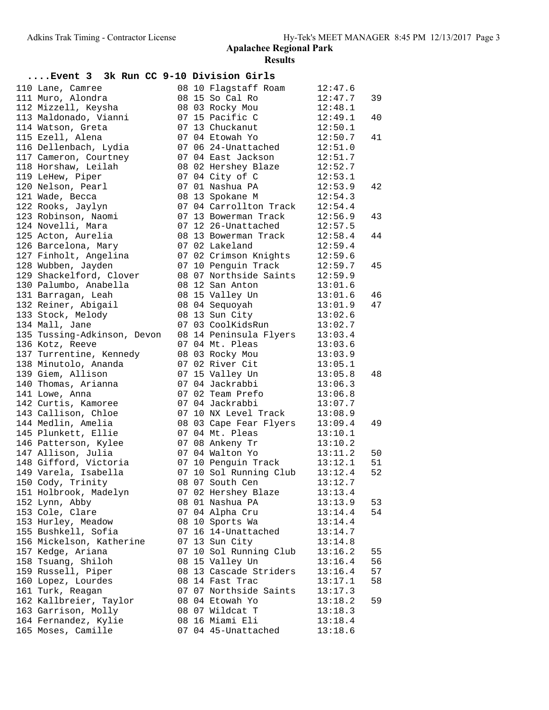| Event 3 3k Run CC 9-10 Division Girls |  |                                                                           |                    |          |
|---------------------------------------|--|---------------------------------------------------------------------------|--------------------|----------|
| 110 Lane, Camree                      |  | 08 10 Flagstaff Roam                                                      | 12:47.6            |          |
| 111 Muro, Alondra                     |  | 08 15 So Cal Ro                                                           | 12:47.7            | 39       |
| 112 Mizzell, Keysha                   |  | 08 03 Rocky Mou                                                           | 12:48.1            |          |
| 113 Maldonado, Vianni                 |  | 07 15 Pacific C                                                           | 12:49.1            | 40       |
| 114 Watson, Greta                     |  | 07 13 Chuckanut                                                           | 12:50.1            |          |
| 115 Ezell, Alena                      |  | 07 04 Etowah Yo                                                           | 12:50.7            | 41       |
| 116 Dellenbach, Lydia                 |  | 07 06 24-Unattached 12:51.0                                               |                    |          |
| 117 Cameron, Courtney                 |  | 07 04 East Jackson                                                        | 12:51.7            |          |
| 118 Horshaw, Leilah                   |  | 08 02 Hershey Blaze                                                       | 12:52.7            |          |
| 119 LeHew, Piper                      |  | 07 04 City of C                                                           | 12:53.1            |          |
| 120 Nelson, Pearl                     |  | 07 01 Nashua PA 12:53.9                                                   |                    | 42       |
| 121 Wade, Becca                       |  | 08 13 Spokane M                                                           | 12:54.3            |          |
| 122 Rooks, Jaylyn                     |  | 07 04 Carrollton Track 12:54.4                                            |                    |          |
| 123 Robinson, Naomi                   |  | 07 13 Bowerman Track                                                      | 12:56.9            | 43       |
| 124 Novelli, Mara                     |  | 07 12 26-Unattached                                                       | 12:57.5            |          |
| 125 Acton, Aurelia                    |  | 08 13 Bowerman Track                                                      | 12:58.4            | 44       |
| 126 Barcelona, Mary                   |  | 07 02 Lakeland                                                            | 12:59.4            |          |
| 127 Finholt, Angelina                 |  | 07 02 Crimson Knights 12:59.6                                             |                    |          |
| 128 Wubben, Jayden                    |  | 07 10 Penguin Track 12:59.7                                               |                    | 45       |
| 129 Shackelford, Clover               |  | 08 07 Northside Saints 12:59.9                                            |                    |          |
| 130 Palumbo, Anabella                 |  | 08 12 San Anton<br>08 15 Valley Un                                        | 13:01.6            |          |
| 131 Barragan, Leah                    |  |                                                                           | 13:01.6            | 46       |
| 132 Reiner, Abigail                   |  | 08 04 Sequoyah                                                            | 13:01.9            | 47       |
| 133 Stock, Melody                     |  | 08 13 Sun City                                                            | 13:02.6            |          |
| 134 Mall, Jane                        |  | 07 03 CoolKidsRun                                                         | 13:02.7            |          |
| 135 Tussing-Adkinson, Devon           |  | 08 14 Peninsula Flyers 13:03.4                                            |                    |          |
| 136 Kotz, Reeve                       |  | 07 04 Mt. Pleas                                                           | 13:03.6            |          |
| 137 Turrentine, Kennedy               |  | 08 03 Rocky Mou                                                           | 13:03.9            |          |
| 138 Minutolo, Ananda                  |  | 07 02 River Cit                                                           | 13:05.1            |          |
| 139 Giem, Allison                     |  | 07 15 Valley Un                                                           | 13:05.8            | 48       |
| 140 Thomas, Arianna                   |  | 07 04 Jackrabbi                                                           | 13:06.3            |          |
| 141 Lowe, Anna                        |  | 07 02 Team Prefo                                                          | 13:06.8            |          |
| 142 Curtis, Kamoree                   |  | 07 04 Jackrabbi                                                           | 13:07.7            |          |
| 143 Callison, Chloe                   |  | 07 10 NX Level Track 13:08.9                                              |                    |          |
| 144 Medlin, Amelia                    |  | 08 03 Cape Fear Flyers 13:09.4                                            |                    | 49       |
| 145 Plunkett, Ellie                   |  | 07 04 Mt. Pleas                                                           | 13:10.1            |          |
| 146 Patterson, Kylee                  |  | 07 08 Ankeny Tr 13:10.2                                                   |                    |          |
| 147 Allison, Julia                    |  | 07 04 Walton Yo<br>07 04 Walton Yo 13:11.2<br>07 10 Penguin Track 13:12.1 |                    | 50       |
| 148 Gifford, Victoria                 |  |                                                                           |                    | 51       |
| 149 Varela, Isabella                  |  | 07 10 Sol Running Club 13:12.4                                            |                    | 52       |
| 150 Cody, Trinity                     |  | 08 07 South Cen<br>07 02 Hershey Blaze                                    | 13:12.7            |          |
| 151 Holbrook, Madelyn                 |  |                                                                           | 13:13.4            |          |
| 152 Lynn, Abby<br>153 Cole, Clare     |  | 08 01 Nashua PA<br>07 04 Alpha Cru                                        | 13:13.9            | 53<br>54 |
| 153 Hurley, Meadow                    |  | 08 10 Sports Wa                                                           | 13:14.4            |          |
| 155 Bushkell, Sofia                   |  | 07 16 14-Unattached                                                       | 13:14.4            |          |
| 156 Mickelson, Katherine              |  | 07 13 Sun City                                                            | 13:14.7<br>13:14.8 |          |
| 157 Kedge, Ariana                     |  | 07 10 Sol Running Club                                                    | 13:16.2            | 55       |
| 158 Tsuang, Shiloh                    |  | 08 15 Valley Un                                                           |                    | 56       |
| 159 Russell, Piper                    |  | 08 13 Cascade Striders                                                    | 13:16.4<br>13:16.4 | 57       |
| 160 Lopez, Lourdes                    |  | 08 14 Fast Trac                                                           | 13:17.1            | 58       |
| 161 Turk, Reagan                      |  | 07 07 Northside Saints                                                    | 13:17.3            |          |
| 162 Kallbreier, Taylor                |  | 08 04 Etowah Yo                                                           | 13:18.2            | 59       |
| 163 Garrison, Molly                   |  | 08 07 Wildcat T                                                           | 13:18.3            |          |
| 164 Fernandez, Kylie                  |  | 08 16 Miami Eli                                                           | 13:18.4            |          |
| 165 Moses, Camille                    |  | 07 04 45-Unattached                                                       | 13:18.6            |          |
|                                       |  |                                                                           |                    |          |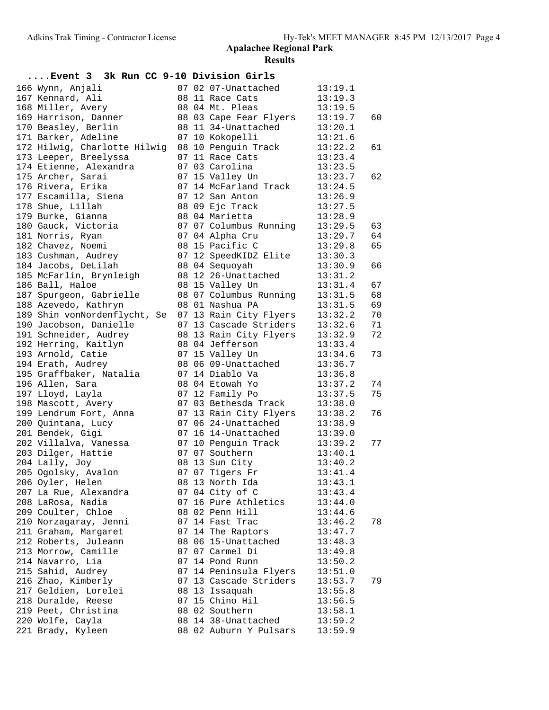| Event 3 3k Run CC 9-10 Division Girls |    |                        |         |    |
|---------------------------------------|----|------------------------|---------|----|
| 166 Wynn, Anjali                      |    | 07 02 07-Unattached    | 13:19.1 |    |
| 167 Kennard, Ali                      |    | 08 11 Race Cats        | 13:19.3 |    |
| 168 Miller, Avery                     |    | 08 04 Mt. Pleas        | 13:19.5 |    |
| 169 Harrison, Danner                  |    | 08 03 Cape Fear Flyers | 13:19.7 | 60 |
| 170 Beasley, Berlin                   |    | 08 11 34-Unattached    | 13:20.1 |    |
| 171 Barker, Adeline                   |    | 07 10 Kokopelli        | 13:21.6 |    |
| 172 Hilwig, Charlotte Hilwig          |    | 08 10 Penguin Track    | 13:22.2 | 61 |
| 173 Leeper, Breelyssa                 |    | 07 11 Race Cats        | 13:23.4 |    |
| 174 Etienne, Alexandra                |    | 07 03 Carolina         | 13:23.5 |    |
| 175 Archer, Sarai                     |    | 07 15 Valley Un        | 13:23.7 | 62 |
| 176 Rivera, Erika                     |    | 07 14 McFarland Track  | 13:24.5 |    |
| 177 Escamilla, Siena                  |    | 07 12 San Anton        | 13:26.9 |    |
| 178 Shue, Lillah                      |    | 08 09 Ejc Track        | 13:27.5 |    |
| 179 Burke, Gianna                     |    | 08 04 Marietta         | 13:28.9 |    |
| 180 Gauck, Victoria                   |    | 07 07 Columbus Running | 13:29.5 | 63 |
| 181 Norris, Ryan                      |    | 07 04 Alpha Cru        | 13:29.7 | 64 |
| 182 Chavez, Noemi                     |    | 08 15 Pacific C        | 13:29.8 | 65 |
| 183 Cushman, Audrey                   |    | 07 12 SpeedKIDZ Elite  | 13:30.3 |    |
| 184 Jacobs, DeLilah                   |    | 08 04 Sequoyah         | 13:30.9 | 66 |
| 185 McFarlin, Brynleigh               |    | 08 12 26-Unattached    | 13:31.2 |    |
| 186 Ball, Haloe                       |    | 08 15 Valley Un        | 13:31.4 | 67 |
| 187 Spurgeon, Gabrielle               |    | 08 07 Columbus Running | 13:31.5 | 68 |
| 188 Azevedo, Kathryn                  |    | 08 01 Nashua PA        | 13:31.5 | 69 |
| 189 Shin vonNordenflycht, Se          |    | 07 13 Rain City Flyers | 13:32.2 | 70 |
| 190 Jacobson, Danielle                |    | 07 13 Cascade Striders |         | 71 |
|                                       |    |                        | 13:32.6 | 72 |
| 191 Schneider, Audrey                 |    | 08 13 Rain City Flyers | 13:32.9 |    |
| 192 Herring, Kaitlyn                  |    | 08 04 Jefferson        | 13:33.4 |    |
| 193 Arnold, Catie                     |    | 07 15 Valley Un        | 13:34.6 | 73 |
| 194 Erath, Audrey                     |    | 08 06 09-Unattached    | 13:36.7 |    |
| 195 Graffbaker, Natalia               |    | 07 14 Diablo Va        | 13:36.8 |    |
| 196 Allen, Sara                       |    | 08 04 Etowah Yo        | 13:37.2 | 74 |
| 197 Lloyd, Layla                      |    | 07 12 Family Po        | 13:37.5 | 75 |
| 198 Mascott, Avery                    |    | 07 03 Bethesda Track   | 13:38.0 |    |
| 199 Lendrum Fort, Anna                |    | 07 13 Rain City Flyers | 13:38.2 | 76 |
| 200 Quintana, Lucy                    |    | 07 06 24-Unattached    | 13:38.9 |    |
| 201 Bendek, Gigi                      |    | 07 16 14-Unattached    | 13:39.0 |    |
| 202 Villalva, Vanessa                 |    | 07 10 Penguin Track    | 13:39.2 | 77 |
| 203 Dilger, Hattie                    |    | 07 07 Southern         | 13:40.1 |    |
| 204 Lally, Joy                        |    | 08 13 Sun City         | 13:40.2 |    |
| 205 Ogolsky, Avalon                   |    | 07 07 Tigers Fr        | 13:41.4 |    |
| 206 Oyler, Helen                      |    | 08 13 North Ida        | 13:43.1 |    |
| 207 La Rue, Alexandra                 |    | 07 04 City of C        | 13:43.4 |    |
| 208 LaRosa, Nadia                     | 07 | 16 Pure Athletics      | 13:44.0 |    |
| 209 Coulter, Chloe                    |    | 08 02 Penn Hill        | 13:44.6 |    |
| 210 Norzagaray, Jenni                 |    | 07 14 Fast Trac        | 13:46.2 | 78 |
| 211 Graham, Margaret                  |    | 07 14 The Raptors      | 13:47.7 |    |
| 212 Roberts, Juleann                  |    | 08 06 15-Unattached    | 13:48.3 |    |
| 213 Morrow, Camille                   |    | 07 07 Carmel Di        | 13:49.8 |    |
| 214 Navarro, Lia                      |    | 07 14 Pond Runn        | 13:50.2 |    |
| 215 Sahid, Audrey                     |    | 07 14 Peninsula Flyers | 13:51.0 |    |
| 216 Zhao, Kimberly                    |    | 07 13 Cascade Striders | 13:53.7 | 79 |
| 217 Geldien, Lorelei                  |    | 08 13 Issaquah         | 13:55.8 |    |
| 218 Duralde, Reese                    |    | 07 15 Chino Hil        | 13:56.5 |    |
| 219 Peet, Christina                   |    | 08 02 Southern         | 13:58.1 |    |
| 220 Wolfe, Cayla                      |    | 08 14 38-Unattached    | 13:59.2 |    |
| 221 Brady, Kyleen                     |    | 08 02 Auburn Y Pulsars | 13:59.9 |    |
|                                       |    |                        |         |    |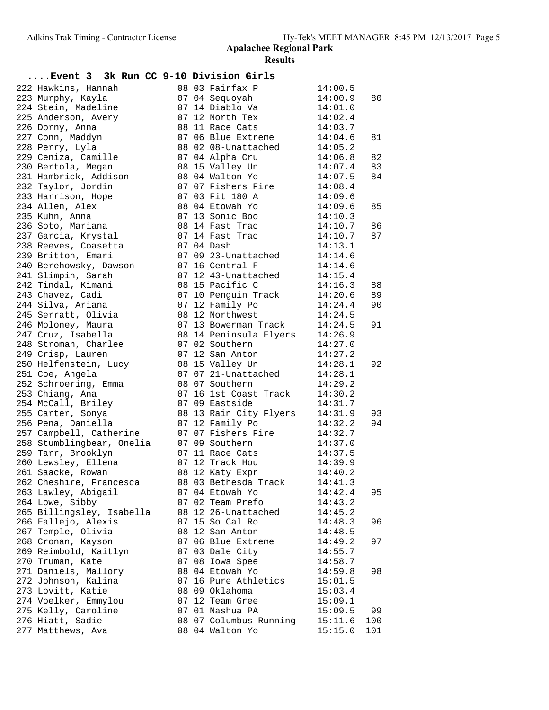| Event 3 3k Run CC 9-10 Division Girls |  |                             |                    |     |
|---------------------------------------|--|-----------------------------|--------------------|-----|
| 222 Hawkins, Hannah                   |  | 08 03 Fairfax P             | 14:00.5            |     |
| 223 Murphy, Kayla                     |  | 07 04 Sequoyah              | 14:00.9            | 80  |
| 224 Stein, Madeline                   |  | 07 14 Diablo Va             | 14:01.0            |     |
| 225 Anderson, Avery                   |  | 07 12 North Tex             | 14:02.4            |     |
| 226 Dorny, Anna                       |  | 08 11 Race Cats             | 14:03.7            |     |
| 227 Conn, Maddyn                      |  | 07 06 Blue Extreme          | 14:04.6            | 81  |
| 228 Perry, Lyla                       |  | 08 02 08-Unattached         | 14:05.2            |     |
| 229 Ceniza, Camille                   |  | 07 04 Alpha Cru             | 14:06.8            | 82  |
| 230 Bertola, Megan                    |  | 08 15 Valley Un             | 14:07.4            | 83  |
| 231 Hambrick, Addison                 |  | 08 04 Walton Yo             | 14:07.5            | 84  |
| 232 Taylor, Jordin                    |  | 07 07 Fishers Fire          | 14:08.4            |     |
| 233 Harrison, Hope                    |  | 07 03 Fit 180 A             | 14:09.6            |     |
| 234 Allen, Alex                       |  | 08 04 Etowah Yo             | 14:09.6            | 85  |
| 235 Kuhn, Anna                        |  | 07 13 Sonic Boo             | 14:10.3            |     |
| 236 Soto, Mariana                     |  | 08 14 Fast Trac             | 14:10.7            | 86  |
| 237 Garcia, Krystal                   |  | 07 14 Fast Trac             | 14:10.7            | 87  |
| 238 Reeves, Coasetta                  |  | 07 04 Dash                  | 14:13.1            |     |
| 239 Britton, Emari                    |  | 07 09 23-Unattached 14:14.6 |                    |     |
| 240 Berehowsky, Dawson                |  | 07 16 Central F             | 14:14.6            |     |
| 241 Slimpin, Sarah                    |  | 07 12 43-Unattached         | 14:15.4            |     |
| 242 Tindal, Kimani                    |  | 08 15 Pacific C             | 14:16.3            | 88  |
| 243 Chavez, Cadi                      |  | 07 10 Penguin Track         | 14:20.6            | 89  |
| 244 Silva, Ariana                     |  | 07 12 Family Po             | 14:24.4            | 90  |
| 245 Serratt, Olivia                   |  | 08 12 Northwest             | 14:24.5            |     |
| 246 Moloney, Maura                    |  | 07 13 Bowerman Track        | 14:24.5            | 91  |
| 247 Cruz, Isabella                    |  | 08 14 Peninsula Flyers      | 14:26.9            |     |
| 248 Stroman, Charlee                  |  | 07 02 Southern              | 14:27.0            |     |
| 249 Crisp, Lauren                     |  | 07 12 San Anton             | 14:27.2            |     |
| 250 Helfenstein, Lucy                 |  | 08 15 Valley Un             | 14:28.1            | 92  |
| 251 Coe, Angela                       |  | 07 07 21-Unattached 14:28.1 |                    |     |
| 252 Schroering, Emma                  |  | 08 07 Southern              | 14:29.2            |     |
| 253 Chiang, Ana                       |  | 07 16 1st Coast Track       | 14:30.2            |     |
| 254 McCall, Briley                    |  | 07 09 Eastside              | 14:31.7            |     |
| 255 Carter, Sonya                     |  | 08 13 Rain City Flyers      | 14:31.9            | 93  |
| 256 Pena, Daniella                    |  | 07 12 Family Po             | 14:32.2            | 94  |
| 257 Campbell, Catherine               |  | 07 07 Fishers Fire          | 14:32.7            |     |
| 258 Stumblingbear, Onelia             |  | 07 09 Southern              | 14:37.0            |     |
| 259 Tarr, Brooklyn                    |  | 07 11 Race Cats             |                    |     |
| 260 Lewsley, Ellena                   |  | 07 12 Track Hou             | 14:37.5<br>14:39.9 |     |
| 261 Saacke, Rowan                     |  | 08 12 Katy Expr             | 14:40.2            |     |
| 262 Cheshire, Francesca               |  | 08 03 Bethesda Track        | 14:41.3            |     |
| 263 Lawley, Abigail                   |  | 07 04 Etowah Yo             | 14:42.4            | 95  |
| 264 Lowe, Sibby                       |  | 07 02 Team Prefo            | 14:43.2            |     |
| 265 Billingsley, Isabella             |  | 08 12 26-Unattached         | 14:45.2            |     |
| 266 Fallejo, Alexis                   |  | 07 15 So Cal Ro             | 14:48.3            | 96  |
| 267 Temple, Olivia                    |  | 08 12 San Anton             | 14:48.5            |     |
| 268 Cronan, Kayson                    |  | 07 06 Blue Extreme          | 14:49.2            | 97  |
| 269 Reimbold, Kaitlyn                 |  | 07 03 Dale City             | 14:55.7            |     |
| 270 Truman, Kate                      |  | 07 08 Iowa Spee             | 14:58.7            |     |
| 271 Daniels, Mallory                  |  | 08 04 Etowah Yo             | 14:59.8            | 98  |
| 272 Johnson, Kalina                   |  | 07 16 Pure Athletics        | 15:01.5            |     |
| 273 Lovitt, Katie                     |  | 08 09 Oklahoma              | 15:03.4            |     |
| 274 Voelker, Emmylou                  |  | 07 12 Team Gree             | 15:09.1            |     |
| 275 Kelly, Caroline                   |  | 07 01 Nashua PA             | 15:09.5            | 99  |
| 276 Hiatt, Sadie                      |  | 08 07 Columbus Running      | 15:11.6            | 100 |
| 277 Matthews, Ava                     |  | 08 04 Walton Yo             | 15:15.0            | 101 |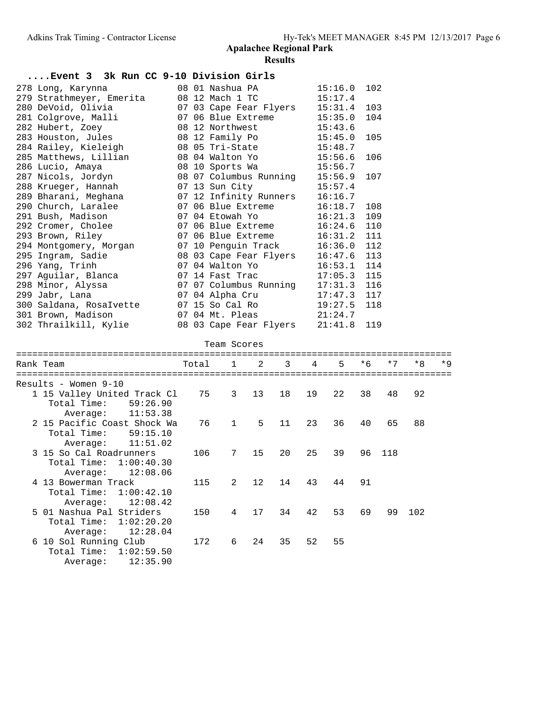| Event 3 3k Run CC 9-10 Division Girls |            |          |       |                        |    |    |    |         |      |     |     |       |
|---------------------------------------|------------|----------|-------|------------------------|----|----|----|---------|------|-----|-----|-------|
| 278 Long, Karynna                     |            |          |       | 08 01 Nashua PA        |    |    |    | 15:16.0 | 102  |     |     |       |
| 279 Strathmeyer, Emerita              |            |          |       | 08 12 Mach 1 TC        |    |    |    | 15:17.4 |      |     |     |       |
| 280 DeVoid, Olivia                    |            |          |       | 07 03 Cape Fear Flyers |    |    |    | 15:31.4 | 103  |     |     |       |
| 281 Colgrove, Malli                   |            |          |       | 07 06 Blue Extreme     |    |    |    | 15:35.0 | 104  |     |     |       |
| 282 Hubert, Zoey                      |            |          |       | 08 12 Northwest        |    |    |    | 15:43.6 |      |     |     |       |
| 283 Houston, Jules                    |            |          |       | 08 12 Family Po        |    |    |    | 15:45.0 | 105  |     |     |       |
| 284 Railey, Kieleigh                  |            |          |       | 08 05 Tri-State        |    |    |    | 15:48.7 |      |     |     |       |
| 285 Matthews, Lillian                 |            |          |       | 08 04 Walton Yo        |    |    |    | 15:56.6 | 106  |     |     |       |
| 286 Lucio, Amaya                      |            |          |       | 08 10 Sports Wa        |    |    |    | 15:56.7 |      |     |     |       |
| 287 Nicols, Jordyn                    |            |          |       | 08 07 Columbus Running |    |    |    | 15:56.9 | 107  |     |     |       |
| 288 Krueger, Hannah                   |            |          |       | 07 13 Sun City         |    |    |    | 15:57.4 |      |     |     |       |
| 289 Bharani, Meghana                  |            |          |       | 07 12 Infinity Runners |    |    |    | 16:16.7 |      |     |     |       |
| 290 Church, Laralee                   |            |          |       | 07 06 Blue Extreme     |    |    |    | 16:18.7 | 108  |     |     |       |
| 291 Bush, Madison                     |            |          |       | 07 04 Etowah Yo        |    |    |    | 16:21.3 | 109  |     |     |       |
| 292 Cromer, Cholee                    |            |          |       | 07 06 Blue Extreme     |    |    |    | 16:24.6 | 110  |     |     |       |
| 293 Brown, Riley                      |            |          |       | 07 06 Blue Extreme     |    |    |    | 16:31.2 | 111  |     |     |       |
| 294 Montgomery, Morgan                |            |          |       | 07 10 Penguin Track    |    |    |    | 16:36.0 | 112  |     |     |       |
| 295 Ingram, Sadie                     |            |          |       | 08 03 Cape Fear Flyers |    |    |    | 16:47.6 | 113  |     |     |       |
| 296 Yang, Trinh                       |            |          |       | 07 04 Walton Yo        |    |    |    | 16:53.1 | 114  |     |     |       |
| 297 Aguilar, Blanca                   |            |          |       | 07 14 Fast Trac        |    |    |    | 17:05.3 | 115  |     |     |       |
| 298 Minor, Alyssa                     |            |          |       | 07 07 Columbus Running |    |    |    | 17:31.3 | 116  |     |     |       |
| 299 Jabr, Lana                        |            |          |       | 07 04 Alpha Cru        |    |    |    | 17:47.3 | 117  |     |     |       |
| 300 Saldana, RosaIvette               |            |          |       | 07 15 So Cal Ro        |    |    |    | 19:27.5 | 118  |     |     |       |
| 301 Brown, Madison                    |            |          |       | 07 04 Mt. Pleas        |    |    |    | 21:24.7 |      |     |     |       |
| 302 Thrailkill, Kylie                 |            |          |       | 08 03 Cape Fear Flyers |    |    |    | 21:41.8 | 119  |     |     |       |
|                                       |            |          |       | Team Scores            |    |    |    |         |      |     |     |       |
| Rank Team                             |            |          | Total | $\mathbf{1}$           | 2  | 3  | 4  | 5       | $*6$ | * 7 | *8  | $*$ 9 |
|                                       |            |          |       |                        |    |    |    |         |      |     |     |       |
| Results - Women 9-10                  |            |          |       |                        |    |    |    |         |      |     |     |       |
| 1 15 Valley United Track Cl           |            |          | 75    | 3                      | 13 | 18 | 19 | 22      | 38   | 48  | 92  |       |
| Total Time:                           |            | 59:26.90 |       |                        |    |    |    |         |      |     |     |       |
| Average:                              |            | 11:53.38 |       |                        |    |    |    |         |      |     |     |       |
| 2 15 Pacific Coast Shock Wa           |            |          | 76    | 1                      | 5  | 11 | 23 | 36      | 40   | 65  | 88  |       |
| Total Time: 59:15.10                  |            |          |       |                        |    |    |    |         |      |     |     |       |
| Average:                              |            | 11:51.02 |       |                        |    |    |    |         |      |     |     |       |
| 3 15 So Cal Roadrunners               |            |          | 106   | 7                      | 15 | 20 | 25 | 39      | 96   | 118 |     |       |
| Total Time:                           | 1:00:40.30 |          |       |                        |    |    |    |         |      |     |     |       |
| Average:                              |            | 12:08.06 |       |                        |    |    |    |         |      |     |     |       |
| 4 13 Bowerman Track                   |            |          | 115   | 2                      | 12 | 14 | 43 | 44      | 91   |     |     |       |
| Total Time:                           | 1:00:42.10 |          |       |                        |    |    |    |         |      |     |     |       |
| Average:                              |            | 12:08.42 |       |                        |    |    |    |         |      |     |     |       |
| 5 01 Nashua Pal Striders              |            |          | 150   | 4                      | 17 | 34 | 42 | 53      | 69   | 99  | 102 |       |
| Total Time:                           | 1:02:20.20 |          |       |                        |    |    |    |         |      |     |     |       |
| Average:                              |            | 12:28.04 |       |                        |    |    |    |         |      |     |     |       |
| 6 10 Sol Running Club                 |            |          | 172   | 6                      | 24 | 35 | 52 | 55      |      |     |     |       |
| Total Time:                           | 1:02:59.50 |          |       |                        |    |    |    |         |      |     |     |       |
| Average:                              |            | 12:35.90 |       |                        |    |    |    |         |      |     |     |       |